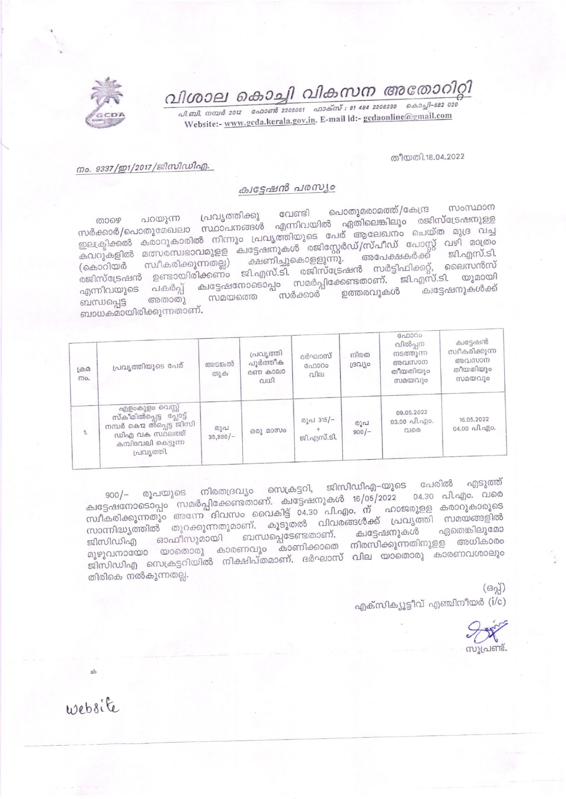വിശാല കൊച്ചി വികസന അതോറിറ്റി

.<br>வி. வி. எவல் 2012 - வேலளி 2205061 - வலக்ஸ் : 91 484 2206230 - கெல்வி-682 020 Website:- www.gcda.kerala.gov.in. E-mail id:- gcdaonline@gmail.com

തീയതി.18.04.2022

## നം. 9337/ഇ1/2017/ജിസിഡിഎ.

## ക്വട്ടേഷൻ പരസ്യം

സംസ്ഥാന പൊതുമരാമത്ത്/കേന്ദ്ര വേണ്ടി പ്രവൃത്തിക്കു സർക്കാർ/പൊതുമേഖലാ സ്ഥാപനങ്ങൾ എന്നിവയിൽ ഏതിലെങ്കിലും രജിസ്ട്രേഷനുള്ള ഇലക്ട്രിക്കൽ കരാറുകാരിൽ നിന്നും പ്രവൃത്തിയുടെ പേര് ആലേഖനം ചെയ്ത മുദ്ര വച്ച കവറുകളിൽ മത്സരസ്വഭാവമുളള ക്വട്ടേഷനുകൾ രജിസ്റ്റേർഡ്/സ്പീഡ് പോസ്റ്റ് വഴി മാത്രം (കൊറിയർ സ്വീകരിക്കുന്നതല്ല) ക്ഷണിച്ചുകൊളളുന്നു. അപേക്ഷകർക്ക് രജിസ്ട്രേഷൻ ഉണ്ടായിരിക്കണം ജി.എസ്.ടി. രജിസ്ട്രേഷൻ സർട്ടിഫിക്കറ്റ്, ലൈസൻസ്<br>കോസ്ട്രേഷൻ ഉണ്ടായിരിക്കണം ജി.എസ്.ടി. രജിസ്ട്രേഷൻ സർട്ടിഫിക്കറ്റ്, ലൈസൻസ് എന്നിവയുടെ പകർപ്പ് ക്വട്ടേഷനോടൊപ്പം സമർപ്പിക്കേണ്ടതാണ്. ജി.എസ്.ടി. യുമായി സമയത്തെ <sup>പ</sup> സർക്കാർ ഇത്തരവുകൾ അതാതു ബന്ധപ്പെട്ട ബാധകമായിരിക്കുന്നതാണ്.

| $(A, \Omega)$<br>mo. | പ്രവൃത്തിയുടെ പേര്                                                                                                               | അടങ്കൽ<br>തുക:    | പ്രവൃത്തി<br>പൂർത്തീക<br>രണ കാലാ<br>വധി | ദർഘാസ്<br>ഫോറം<br>വില   | നിരത<br>ദ്രഗ്യാ | ഫോറം<br>വിൽപ്പന<br>നടത്തുന്ന<br>അവസാന<br>തീയതിയും<br>സമയവും | ക്വട്ടേഷൻ<br>സ്വീകരിക്കുന്ന<br>അവസാന<br>തീയതിയും<br>സമയവും |
|----------------------|----------------------------------------------------------------------------------------------------------------------------------|-------------------|-----------------------------------------|-------------------------|-----------------|-------------------------------------------------------------|------------------------------------------------------------|
| 1.                   | എളംകുളം വെസ്റ്റ്<br>സ്കീമിൽപ്പെട്ട പ്ലോട്ട്<br>നമ്പർ കൊളു താപ്പെട്ട ജിസി<br>ഡിഎ വക സ്ഥലത്ത്<br>കമ്പിവേലി കെട്ടുന്ന<br>പ്രവൃത്തി. | രൂപ<br>$35,896/-$ | ഒരു മാസം                                | രൂപ 315/-<br>ജി.എസ്.ടി. | രൂപ<br>$900/-$  | 09.05.2022<br>03.00 പി.എം.<br>Q160                          | 16.05.2022<br>$04.00 \text{ a}$ and $0.00$ .               |

നിരതദ്രവ്യം സെക്രട്ടറി, ജിസിഡിഎ–യുടെ പേരിൽ എടുത്ത് ക്വട്ടേഷനോടൊപ്പം സമർപ്പിക്കേണ്ടതാണ്. ക്വട്ടേഷനുകൾ 16/05/2022 04.30 പി.എം. വരെ സ്ഥീകരിക്കുന്നതും അന്നേ ദിവസം വൈകിട്ട് 04.30 പി.എം. ന് ഹാജരുളള കരാറുകാരുടെ സാന്നിദ്ധ്യത്തിൽ തുറക്കുന്നതുമാണ്. കൂടുതൽ വിവരങ്ങൾക്ക് പ്രവൃത്തി സമയങ്ങളിൽ ജിസിഡിഎ ഓഫീസുമായി ബന്ധപ്പെടേണ്ടതാണ്. ക്വട്ടേഷനുകൾ മുഴുവനായോ യാതൊരു കാരണവും കാണിക്കാതെ നിരസിക്കുന്നതിനുളള അധികാരം ജിസിഡിഎ സെക്രട്ടറിയിൽ നിക്ഷിപ്തമാണ്. ദർഘാസ് വില യാതൊരു കാരണവശാലും തിരികെ നൽകുന്നതല്ല.

> $(630)$ എക്സിക്യൂട്ടീവ് എഞ്ചിനീയർ ( $i/c$ )



website